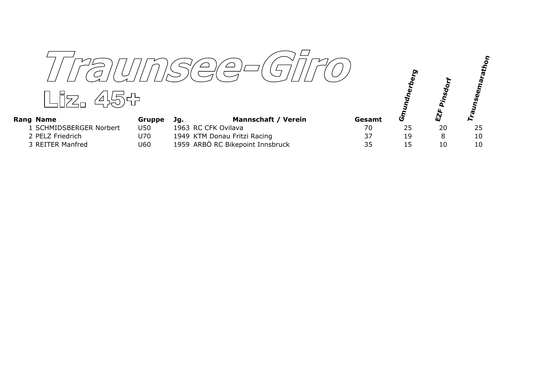



Rang

|                         |        |     |                                  |        | O, |           |    |
|-------------------------|--------|-----|----------------------------------|--------|----|-----------|----|
|                         |        |     |                                  |        |    | ą,        | Õ  |
| g Name                  | Gruppe | Jg. | Mannschaft / Verein              | Gesamt | ပ  | <b>LY</b> |    |
| 1 SCHMIDSBERGER Norbert | U50    |     | 1963 RC CFK Ovilava              | 70     | 25 | 20        | 25 |
| 2 PELZ Friedrich        | U70    |     | 1949 KTM Donau Fritzi Racing     | 37     | 19 | 8         | 10 |
| 3 REITER Manfred        | U60    |     | 1959 ARBÖ RC Bikepoint Innsbruck | 35     | 15 | 10        | 10 |
|                         |        |     |                                  |        |    |           |    |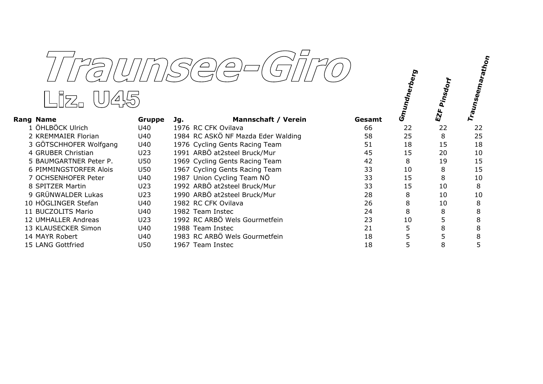

## əlz. UA!5

## ក្ត<br>ក្តី<br>**A**<br>ច EZF **Gruppe Jg. Rang Na F- F-**1976 RC CFK Ovilava<br>
1984 RC ASKÖ NF Mazda Eder Walding<br>
1984 RC ASKÖ NF Mazda Eder Walding<br>
1984 RC ASKÖ NF Mazda Eder Walding<br>
1984 RC ASKÖ NF Mazda Eder Walding<br>
1985 1985 1986 1 OHLBO 2 KREMMATER Florian U40 1984 RC ASKÖ NF Mazda Eder Walding 1984 RC ASKÖ NF Mazda Eder Walding 1986 1986 1987 1988 1989 1989 1989 1989 3 GÖTSCHHOFER Wolfgang U40 1976 Cycling Gents Racing Team 51 5 18 15 18 4 GRUBER Christian U23 ./.%%AB1D231B F( ( ( \*+"4%.%B45 ( -DAC'\*%./DC'+%0 F ( 4"\*!+AC/ ( -DAC'\*%./DC'+%0 )) ( 7 OCHSENHOFER Peter U40 1987 Union Cycling Team NÖ  $(33)$   $(15)$   $(8)$   $(10)$ 8 SPITZER Martin U23 ./.%%AB1D231B )) ( 9 GRÜNWALDER Lukas U23 ./.%%AB1D231B 10 HÖGLINGER Stefan U40 1982 RC CFK Ovilava 1 1 26 8 10 8 6+!BC F +%0/.%D F  $\mathsf{R}$ 12 UMHALLER Andreas U23 1992 RC ARBÖ Wels Gourmetfein  $\overline{a}$  and  $\overline{a}$  and  $\overline{a}$  and  $\overline{a}$  and  $\overline{a}$  and  $\overline{a}$  and  $\overline{a}$  and  $\overline{a}$  and  $\overline{a}$  and  $\overline{a}$  and  $\overline{a}$  and  $\overline{a}$  and  $\overline{a}$  and  $\overline{a}$  and  $\overline{a}$  a ) !!C0 F +%0/.%D ( 1983 RC ARBÖ Wels Gourmetfein 18 18 5 5 8 14 MAYR Robert U40 ( 15 LANG Gottfried The USO 1967 Team Instec 18 18 5 8 5

ndnerberg<br> **Marberg** 

Pinsd<sub>Orf</sub>

 $\mathcal{F}_{\mathcal{F}}$ **A**

8

8

nsee<sub>ma</sub>

**C**  $t h_{\mathbf{o} \mathbf{n}}$